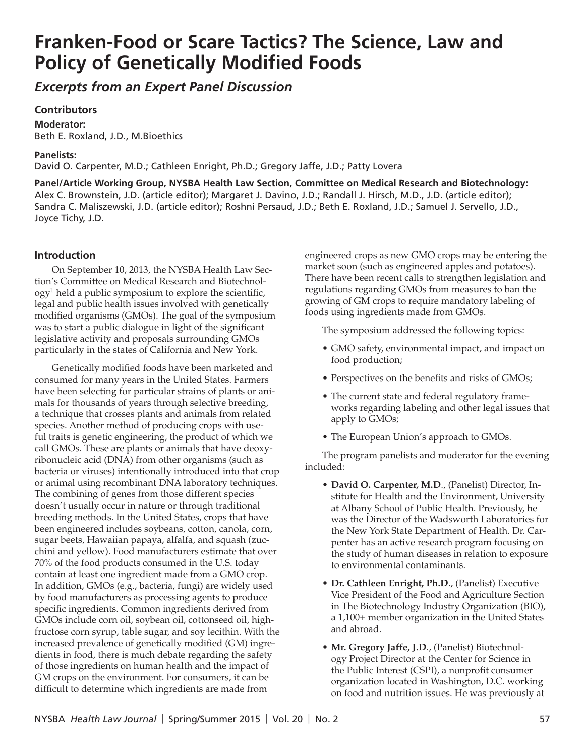# **Franken-Food or Scare Tactics? The Science, Law and Policy of Genetically Modified Foods**

*Excerpts from an Expert Panel Discussion* 

# **Contributors**

**Moderator:**  Beth E. Roxland, J.D., M.Bioethics

# **Panelists:**

David O. Carpenter, M.D.; Cathleen Enright, Ph.D.; Gregory Jaffe, J.D.; Patty Lovera

**Panel/Article Working Group, NYSBA Health Law Section, Committee on Medical Research and Biotechnology:**  Alex C. Brownstein, J.D. (article editor); Margaret J. Davino, J.D.; Randall J. Hirsch, M.D., J.D. (article editor); Sandra C. Maliszewski, J.D. (article editor); Roshni Persaud, J.D.; Beth E. Roxland, J.D.; Samuel J. Servello, J.D., Joyce Tichy, J.D.

# **Introduction**

On September 10, 2013, the NYSBA Health Law Section's Committee on Medical Research and Biotechnol- $\log y^1$  held a public symposium to explore the scientific, legal and public health issues involved with genetically modified organisms (GMOs). The goal of the symposium was to start a public dialogue in light of the significant legislative activity and proposals surrounding GMOs particularly in the states of California and New York.

Genetically modified foods have been marketed and consumed for many years in the United States. Farmers have been selecting for particular strains of plants or animals for thousands of years through selective breeding, a technique that crosses plants and animals from related species. Another method of producing crops with useful traits is genetic engineering, the product of which we call GMOs. These are plants or animals that have deoxyribonucleic acid (DNA) from other organisms (such as bacteria or viruses) intentionally introduced into that crop or animal using recombinant DNA laboratory techniques. The combining of genes from those different species doesn't usually occur in nature or through traditional breeding methods. In the United States, crops that have been engineered includes soybeans, cotton, canola, corn, sugar beets, Hawaiian papaya, alfalfa, and squash (zucchini and yellow). Food manufacturers estimate that over 70% of the food products consumed in the U.S. today contain at least one ingredient made from a GMO crop. In addition, GMOs (e.g., bacteria, fungi) are widely used by food manufacturers as processing agents to produce specific ingredients. Common ingredients derived from GMOs include corn oil, soybean oil, cottonseed oil, highfructose corn syrup, table sugar, and soy lecithin. With the increased prevalence of genetically modified (GM) ingredients in food, there is much debate regarding the safety of those ingredients on human health and the impact of GM crops on the environment. For consumers, it can be difficult to determine which ingredients are made from

engineered crops as new GMO crops may be entering the market soon (such as engineered apples and potatoes). There have been recent calls to strengthen legislation and regulations regarding GMOs from measures to ban the growing of GM crops to require mandatory labeling of foods using ingredients made from GMOs.

The symposium addressed the following topics:

- GMO safety, environmental impact, and impact on food production;
- Perspectives on the benefits and risks of GMOs;
- The current state and federal regulatory frameworks regarding labeling and other legal issues that apply to GMOs;
- The European Union's approach to GMOs.

The program panelists and moderator for the evening included:

- **David O. Carpenter, M.D**., (Panelist) Director, Institute for Health and the Environment, University at Albany School of Public Health. Previously, he was the Director of the Wadsworth Laboratories for the New York State Department of Health. Dr. Carpenter has an active research program focusing on the study of human diseases in relation to exposure to environmental contaminants.
- **Dr. Cathleen Enright, Ph.D**., (Panelist) Executive Vice President of the Food and Agriculture Section in The Biotechnology Industry Organization (BIO), a 1,100+ member organization in the United States and abroad.
- **Mr. Gregory Jaffe, J.D**., (Panelist) Biotechnology Project Director at the Center for Science in the Public Interest (CSPI), a nonprofit consumer organization located in Washington, D.C. working on food and nutrition issues. He was previously at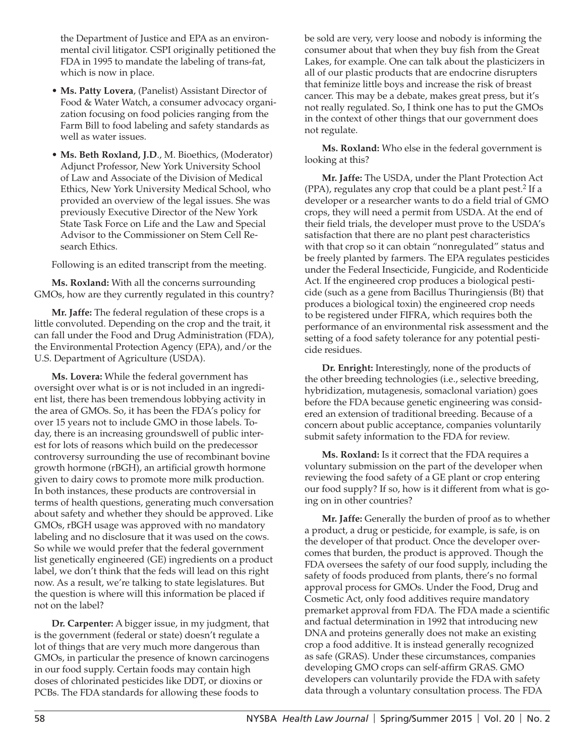the Department of Justice and EPA as an environmental civil litigator. CSPI originally petitioned the FDA in 1995 to mandate the labeling of trans-fat, which is now in place.

- • **Ms. Patty Lovera**, (Panelist) Assistant Director of Food & Water Watch, a consumer advocacy organization focusing on food policies ranging from the Farm Bill to food labeling and safety standards as well as water issues.
- **Ms. Beth Roxland, J.D**., M. Bioethics, (Moderator) Adjunct Professor, New York University School of Law and Associate of the Division of Medical Ethics, New York University Medical School, who provided an overview of the legal issues. She was previously Executive Director of the New York State Task Force on Life and the Law and Special Advisor to the Commissioner on Stem Cell Research Ethics.

Following is an edited transcript from the meeting.

**Ms. Roxland:** With all the concerns surrounding GMOs, how are they currently regulated in this country?

**Mr. Jaffe:** The federal regulation of these crops is a little convoluted. Depending on the crop and the trait, it can fall under the Food and Drug Administration (FDA), the Environmental Protection Agency (EPA), and/or the U.S. Department of Agriculture (USDA).

**Ms. Lovera:** While the federal government has oversight over what is or is not included in an ingredient list, there has been tremendous lobbying activity in the area of GMOs. So, it has been the FDA's policy for over 15 years not to include GMO in those labels. Today, there is an increasing groundswell of public interest for lots of reasons which build on the predecessor controversy surrounding the use of recombinant bovine growth hormone (rBGH), an artificial growth hormone given to dairy cows to promote more milk production. In both instances, these products are controversial in terms of health questions, generating much conversation about safety and whether they should be approved. Like GMOs, rBGH usage was approved with no mandatory labeling and no disclosure that it was used on the cows. So while we would prefer that the federal government list genetically engineered (GE) ingredients on a product label, we don't think that the feds will lead on this right now. As a result, we're talking to state legislatures. But the question is where will this information be placed if not on the label?

**Dr. Carpenter:** A bigger issue, in my judgment, that is the government (federal or state) doesn't regulate a lot of things that are very much more dangerous than GMOs, in particular the presence of known carcinogens in our food supply. Certain foods may contain high doses of chlorinated pesticides like DDT, or dioxins or PCBs. The FDA standards for allowing these foods to

be sold are very, very loose and nobody is informing the consumer about that when they buy fish from the Great Lakes, for example. One can talk about the plasticizers in all of our plastic products that are endocrine disrupters that feminize little boys and increase the risk of breast cancer. This may be a debate, makes great press, but it's not really regulated. So, I think one has to put the GMOs in the context of other things that our government does not regulate.

**Ms. Roxland:** Who else in the federal government is looking at this?

**Mr. Jaffe:** The USDA, under the Plant Protection Act  $(PPA)$ , regulates any crop that could be a plant pest.<sup>2</sup> If a developer or a researcher wants to do a field trial of GMO crops, they will need a permit from USDA. At the end of their field trials, the developer must prove to the USDA's satisfaction that there are no plant pest characteristics with that crop so it can obtain "nonregulated" status and be freely planted by farmers. The EPA regulates pesticides under the Federal Insecticide, Fungicide, and Rodenticide Act. If the engineered crop produces a biological pesticide (such as a gene from Bacillus Thuringiensis (Bt) that produces a biological toxin) the engineered crop needs to be registered under FIFRA, which requires both the performance of an environmental risk assessment and the setting of a food safety tolerance for any potential pesticide residues.

**Dr. Enright:** Interestingly, none of the products of the other breeding technologies (i.e., selective breeding, hybridization, mutagenesis, somaclonal variation) goes before the FDA because genetic engineering was considered an extension of traditional breeding. Because of a concern about public acceptance, companies voluntarily submit safety information to the FDA for review.

**Ms. Roxland:** Is it correct that the FDA requires a voluntary submission on the part of the developer when reviewing the food safety of a GE plant or crop entering our food supply? If so, how is it different from what is going on in other countries?

**Mr. Jaffe:** Generally the burden of proof as to whether a product, a drug or pesticide, for example, is safe, is on the developer of that product. Once the developer overcomes that burden, the product is approved. Though the FDA oversees the safety of our food supply, including the safety of foods produced from plants, there's no formal approval process for GMOs. Under the Food, Drug and Cosmetic Act, only food additives require mandatory premarket approval from FDA. The FDA made a scientific and factual determination in 1992 that introducing new DNA and proteins generally does not make an existing crop a food additive. It is instead generally recognized as safe (GRAS). Under these circumstances, companies developing GMO crops can self-affirm GRAS. GMO developers can voluntarily provide the FDA with safety data through a voluntary consultation process. The FDA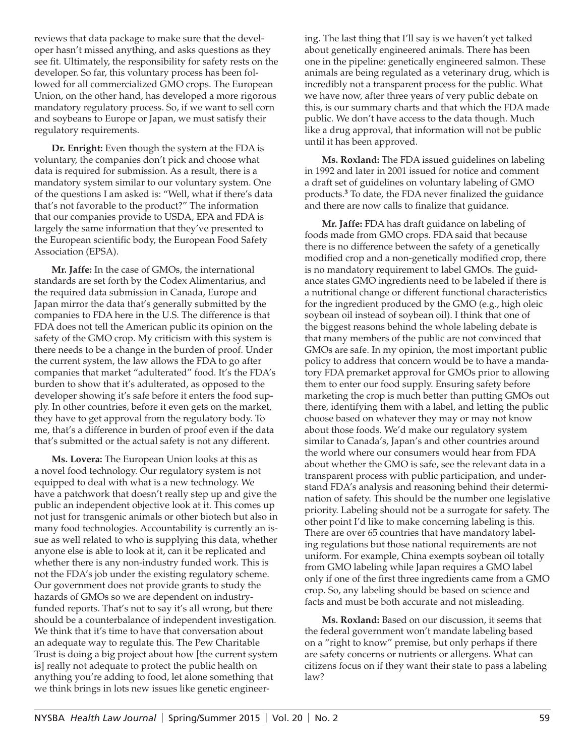reviews that data package to make sure that the developer hasn't missed anything, and asks questions as they see fit. Ultimately, the responsibility for safety rests on the developer. So far, this voluntary process has been followed for all commercialized GMO crops. The European Union, on the other hand, has developed a more rigorous mandatory regulatory process. So, if we want to sell corn and soybeans to Europe or Japan, we must satisfy their regulatory requirements.

**Dr. Enright:** Even though the system at the FDA is voluntary, the companies don't pick and choose what data is required for submission. As a result, there is a mandatory system similar to our voluntary system. One of the questions I am asked is: "Well, what if there's data that's not favorable to the product?" The information that our companies provide to USDA, EPA and FDA is largely the same information that they've presented to the European scientific body, the European Food Safety Association (EPSA).

**Mr. Jaffe:** In the case of GMOs, the international standards are set forth by the Codex Alimentarius, and the required data submission in Canada, Europe and Japan mirror the data that's generally submitted by the companies to FDA here in the U.S. The difference is that FDA does not tell the American public its opinion on the safety of the GMO crop. My criticism with this system is there needs to be a change in the burden of proof. Under the current system, the law allows the FDA to go after companies that market "adulterated" food. It's the FDA's burden to show that it's adulterated, as opposed to the developer showing it's safe before it enters the food supply. In other countries, before it even gets on the market, they have to get approval from the regulatory body. To me, that's a difference in burden of proof even if the data that's submitted or the actual safety is not any different.

**Ms. Lovera:** The European Union looks at this as a novel food technology. Our regulatory system is not equipped to deal with what is a new technology. We have a patchwork that doesn't really step up and give the public an independent objective look at it. This comes up not just for transgenic animals or other biotech but also in many food technologies. Accountability is currently an issue as well related to who is supplying this data, whether anyone else is able to look at it, can it be replicated and whether there is any non-industry funded work. This is not the FDA's job under the existing regulatory scheme. Our government does not provide grants to study the hazards of GMOs so we are dependent on industryfunded reports. That's not to say it's all wrong, but there should be a counterbalance of independent investigation. We think that it's time to have that conversation about an adequate way to regulate this. The Pew Charitable Trust is doing a big project about how [the current system is] really not adequate to protect the public health on anything you're adding to food, let alone something that we think brings in lots new issues like genetic engineering. The last thing that I'll say is we haven't yet talked about genetically engineered animals. There has been one in the pipeline: genetically engineered salmon. These animals are being regulated as a veterinary drug, which is incredibly not a transparent process for the public. What we have now, after three years of very public debate on this, is our summary charts and that which the FDA made public. We don't have access to the data though. Much like a drug approval, that information will not be public until it has been approved.

**Ms. Roxland:** The FDA issued guidelines on labeling in 1992 and later in 2001 issued for notice and comment a draft set of guidelines on voluntary labeling of GMO products.<sup>3</sup> To date, the FDA never finalized the guidance and there are now calls to finalize that guidance.

**Mr. Jaffe:** FDA has draft guidance on labeling of foods made from GMO crops. FDA said that because there is no difference between the safety of a genetically modified crop and a non-genetically modified crop, there is no mandatory requirement to label GMOs. The guidance states GMO ingredients need to be labeled if there is a nutritional change or different functional characteristics for the ingredient produced by the GMO (e.g., high oleic soybean oil instead of soybean oil). I think that one of the biggest reasons behind the whole labeling debate is that many members of the public are not convinced that GMOs are safe. In my opinion, the most important public policy to address that concern would be to have a mandatory FDA premarket approval for GMOs prior to allowing them to enter our food supply. Ensuring safety before marketing the crop is much better than putting GMOs out there, identifying them with a label, and letting the public choose based on whatever they may or may not know about those foods. We'd make our regulatory system similar to Canada's, Japan's and other countries around the world where our consumers would hear from FDA about whether the GMO is safe, see the relevant data in a transparent process with public participation, and understand FDA's analysis and reasoning behind their determination of safety. This should be the number one legislative priority. Labeling should not be a surrogate for safety. The other point I'd like to make concerning labeling is this. There are over 65 countries that have mandatory labeling regulations but those national requirements are not uniform. For example, China exempts soybean oil totally from GMO labeling while Japan requires a GMO label only if one of the first three ingredients came from a GMO crop. So, any labeling should be based on science and facts and must be both accurate and not misleading.

**Ms. Roxland:** Based on our discussion, it seems that the federal government won't mandate labeling based on a "right to know" premise, but only perhaps if there are safety concerns or nutrients or allergens. What can citizens focus on if they want their state to pass a labeling law?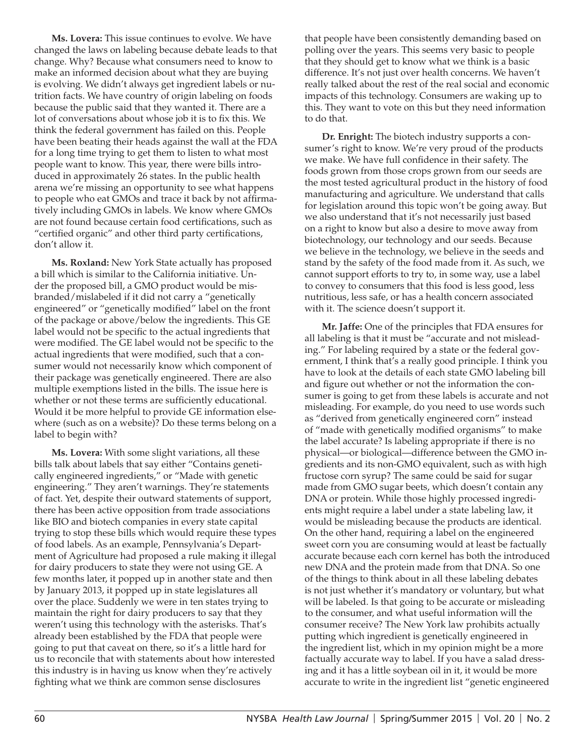**Ms. Lovera:** This issue continues to evolve. We have changed the laws on labeling because debate leads to that change. Why? Because what consumers need to know to make an informed decision about what they are buying is evolving. We didn't always get ingredient labels or nutrition facts. We have country of origin labeling on foods because the public said that they wanted it. There are a lot of conversations about whose job it is to fix this. We think the federal government has failed on this. People have been beating their heads against the wall at the FDA for a long time trying to get them to listen to what most people want to know. This year, there were bills introduced in approximately 26 states. In the public health arena we're missing an opportunity to see what happens to people who eat GMOs and trace it back by not affirmatively including GMOs in labels. We know where GMOs are not found because certain food certifications, such as "certified organic" and other third party certifications, don't allow it.

**Ms. Roxland:** New York State actually has proposed a bill which is similar to the California initiative. Under the proposed bill, a GMO product would be misbranded/mislabeled if it did not carry a "genetically engineered" or "genetically modified" label on the front of the package or above/below the ingredients. This GE label would not be specific to the actual ingredients that were modified. The GE label would not be specific to the actual ingredients that were modified, such that a consumer would not necessarily know which component of their package was genetically engineered. There are also multiple exemptions listed in the bills. The issue here is whether or not these terms are sufficiently educational. Would it be more helpful to provide GE information elsewhere (such as on a website)? Do these terms belong on a label to begin with?

**Ms. Lovera:** With some slight variations, all these bills talk about labels that say either "Contains genetically engineered ingredients," or "Made with genetic engineering." They aren't warnings. They're statements of fact. Yet, despite their outward statements of support, there has been active opposition from trade associations like BIO and biotech companies in every state capital trying to stop these bills which would require these types of food labels. As an example, Pennsylvania's Department of Agriculture had proposed a rule making it illegal for dairy producers to state they were not using GE. A few months later, it popped up in another state and then by January 2013, it popped up in state legislatures all over the place. Suddenly we were in ten states trying to maintain the right for dairy producers to say that they weren't using this technology with the asterisks. That's already been established by the FDA that people were going to put that caveat on there, so it's a little hard for us to reconcile that with statements about how interested this industry is in having us know when they're actively fighting what we think are common sense disclosures

that people have been consistently demanding based on polling over the years. This seems very basic to people that they should get to know what we think is a basic difference. It's not just over health concerns. We haven't really talked about the rest of the real social and economic impacts of this technology. Consumers are waking up to this. They want to vote on this but they need information to do that.

**Dr. Enright:** The biotech industry supports a consumer's right to know. We're very proud of the products we make. We have full confidence in their safety. The foods grown from those crops grown from our seeds are the most tested agricultural product in the history of food manufacturing and agriculture. We understand that calls for legislation around this topic won't be going away. But we also understand that it's not necessarily just based on a right to know but also a desire to move away from biotechnology, our technology and our seeds. Because we believe in the technology, we believe in the seeds and stand by the safety of the food made from it. As such, we cannot support efforts to try to, in some way, use a label to convey to consumers that this food is less good, less nutritious, less safe, or has a health concern associated with it. The science doesn't support it.

**Mr. Jaffe:** One of the principles that FDA ensures for all labeling is that it must be "accurate and not misleading." For labeling required by a state or the federal government, I think that's a really good principle. I think you have to look at the details of each state GMO labeling bill and figure out whether or not the information the consumer is going to get from these labels is accurate and not misleading. For example, do you need to use words such as "derived from genetically engineered corn" instead of "made with genetically modified organisms" to make the label accurate? Is labeling appropriate if there is no physical—or biological—difference between the GMO ingredients and its non-GMO equivalent, such as with high fructose corn syrup? The same could be said for sugar made from GMO sugar beets, which doesn't contain any DNA or protein. While those highly processed ingredients might require a label under a state labeling law, it would be misleading because the products are identical. On the other hand, requiring a label on the engineered sweet corn you are consuming would at least be factually accurate because each corn kernel has both the introduced new DNA and the protein made from that DNA. So one of the things to think about in all these labeling debates is not just whether it's mandatory or voluntary, but what will be labeled. Is that going to be accurate or misleading to the consumer, and what useful information will the consumer receive? The New York law prohibits actually putting which ingredient is genetically engineered in the ingredient list, which in my opinion might be a more factually accurate way to label. If you have a salad dressing and it has a little soybean oil in it, it would be more accurate to write in the ingredient list "genetic engineered